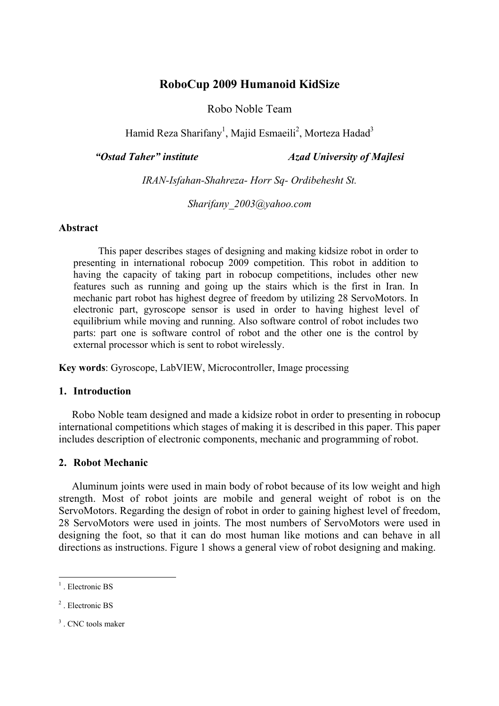# **RoboCup 2009 Humanoid KidSize**

Robo Noble Team

Hamid Reza Sharifany<sup>1</sup>, Majid Esmaeili<sup>2</sup>, Morteza Hadad<sup>3</sup>

*"Ostad Taher" institute Azad University of Majlesi* 

*IRAN-Isfahan-Shahreza- Horr Sq- Ordibehesht St.* 

*Sharifany\_2003@yahoo.com* 

## **Abstract**

 This paper describes stages of designing and making kidsize robot in order to presenting in international robocup 2009 competition. This robot in addition to having the capacity of taking part in robocup competitions, includes other new features such as running and going up the stairs which is the first in Iran. In mechanic part robot has highest degree of freedom by utilizing 28 ServoMotors. In electronic part, gyroscope sensor is used in order to having highest level of equilibrium while moving and running. Also software control of robot includes two parts: part one is software control of robot and the other one is the control by external processor which is sent to robot wirelessly.

**Key words**: Gyroscope, LabVIEW, Microcontroller, Image processing

## **1. Introduction**

 Robo Noble team designed and made a kidsize robot in order to presenting in robocup international competitions which stages of making it is described in this paper. This paper includes description of electronic components, mechanic and programming of robot.

# **2. Robot Mechanic**

 Aluminum joints were used in main body of robot because of its low weight and high strength. Most of robot joints are mobile and general weight of robot is on the ServoMotors. Regarding the design of robot in order to gaining highest level of freedom, 28 ServoMotors were used in joints. The most numbers of ServoMotors were used in designing the foot, so that it can do most human like motions and can behave in all directions as instructions. Figure 1 shows a general view of robot designing and making.

-

<sup>&</sup>lt;sup>1</sup>. Electronic BS

<sup>&</sup>lt;sup>2</sup>. Electronic BS

<sup>&</sup>lt;sup>3</sup>. CNC tools maker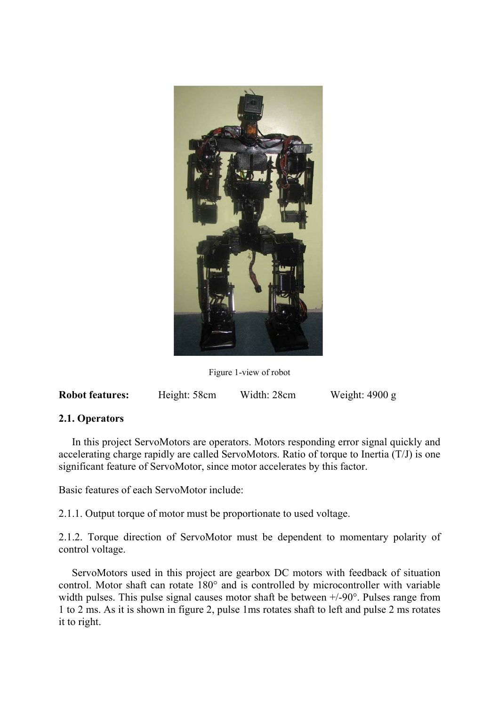

Figure 1-view of robot

| <b>Robot features:</b> | Height: 58cm | Width: 28cm | Weight: $4900 g$ |
|------------------------|--------------|-------------|------------------|
|------------------------|--------------|-------------|------------------|

# **2.1. Operators**

 In this project ServoMotors are operators. Motors responding error signal quickly and accelerating charge rapidly are called ServoMotors. Ratio of torque to Inertia (T/J) is one significant feature of ServoMotor, since motor accelerates by this factor.

Basic features of each ServoMotor include:

2.1.1. Output torque of motor must be proportionate to used voltage.

2.1.2. Torque direction of ServoMotor must be dependent to momentary polarity of control voltage.

 ServoMotors used in this project are gearbox DC motors with feedback of situation control. Motor shaft can rotate 180° and is controlled by microcontroller with variable width pulses. This pulse signal causes motor shaft be between  $+/-90^{\circ}$ . Pulses range from 1 to 2 ms. As it is shown in figure 2, pulse 1ms rotates shaft to left and pulse 2 ms rotates it to right.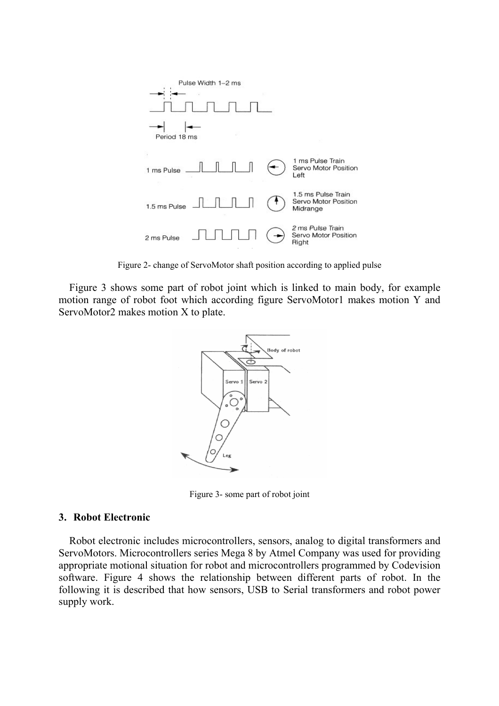

Figure 2- change of ServoMotor shaft position according to applied pulse

 Figure 3 shows some part of robot joint which is linked to main body, for example motion range of robot foot which according figure ServoMotor1 makes motion Y and ServoMotor2 makes motion X to plate.



Figure 3- some part of robot joint

## **3. Robot Electronic**

 Robot electronic includes microcontrollers, sensors, analog to digital transformers and ServoMotors. Microcontrollers series Mega 8 by Atmel Company was used for providing appropriate motional situation for robot and microcontrollers programmed by Codevision software. Figure 4 shows the relationship between different parts of robot. In the following it is described that how sensors, USB to Serial transformers and robot power supply work.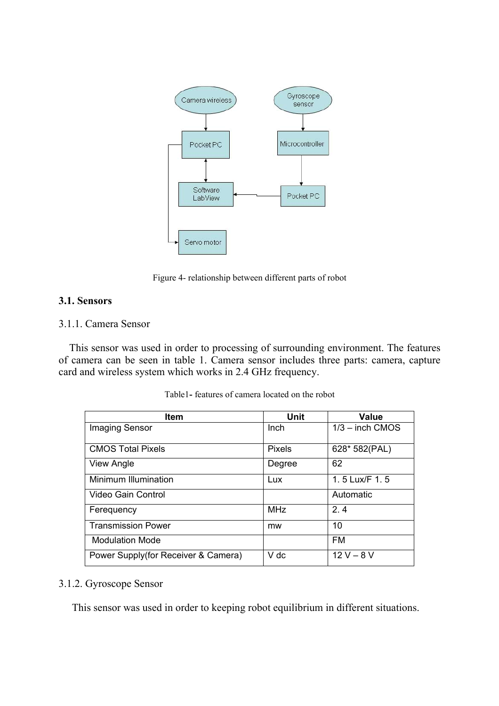

Figure 4- relationship between different parts of robot

# **3.1. Sensors**

# 3.1.1. Camera Sensor

 This sensor was used in order to processing of surrounding environment. The features of camera can be seen in table 1. Camera sensor includes three parts: camera, capture card and wireless system which works in 2.4 GHz frequency.

| <b>Item</b>                         | <b>Unit</b>   | <b>Value</b>      |
|-------------------------------------|---------------|-------------------|
| Imaging Sensor                      | <b>Inch</b>   | $1/3$ – inch CMOS |
| <b>CMOS Total Pixels</b>            | <b>Pixels</b> | 628* 582(PAL)     |
| View Angle                          | Degree        | 62                |
| Minimum Illumination                | Lux           | 1.5 Lux/F 1.5     |
| Video Gain Control                  |               | Automatic         |
| Ferequency                          | <b>MHz</b>    | 2.4               |
| <b>Transmission Power</b>           | mw            | 10                |
| <b>Modulation Mode</b>              |               | <b>FM</b>         |
| Power Supply(for Receiver & Camera) | V dc          | $12 V - 8 V$      |

Table1**-** features of camera located on the robot

# 3.1.2. Gyroscope Sensor

This sensor was used in order to keeping robot equilibrium in different situations.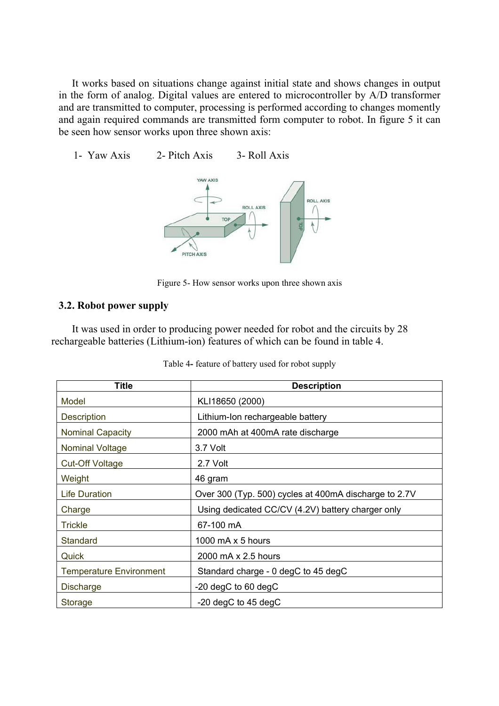It works based on situations change against initial state and shows changes in output in the form of analog. Digital values are entered to microcontroller by A/D transformer and are transmitted to computer, processing is performed according to changes momently and again required commands are transmitted form computer to robot. In figure 5 it can be seen how sensor works upon three shown axis:

1- Yaw Axis 2- Pitch Axis 3- Roll Axis



Figure 5- How sensor works upon three shown axis

## **3.2. Robot power supply**

 It was used in order to producing power needed for robot and the circuits by 28 rechargeable batteries (Lithium-ion) features of which can be found in table 4.

| <b>Title</b>                   | <b>Description</b>                                    |
|--------------------------------|-------------------------------------------------------|
| Model                          | KLI18650 (2000)                                       |
| <b>Description</b>             | Lithium-Ion rechargeable battery                      |
| <b>Nominal Capacity</b>        | 2000 mAh at 400mA rate discharge                      |
| <b>Nominal Voltage</b>         | 3.7 Volt                                              |
| <b>Cut-Off Voltage</b>         | 2.7 Volt                                              |
| Weight                         | 46 gram                                               |
| <b>Life Duration</b>           | Over 300 (Typ. 500) cycles at 400mA discharge to 2.7V |
| Charge                         | Using dedicated CC/CV (4.2V) battery charger only     |
| <b>Trickle</b>                 | 67-100 mA                                             |
| <b>Standard</b>                | 1000 mA x 5 hours                                     |
| Quick                          | 2000 mA x 2.5 hours                                   |
| <b>Temperature Environment</b> | Standard charge - 0 degC to 45 degC                   |
| <b>Discharge</b>               | -20 degC to 60 degC                                   |
| <b>Storage</b>                 | $-20$ degC to 45 degC                                 |